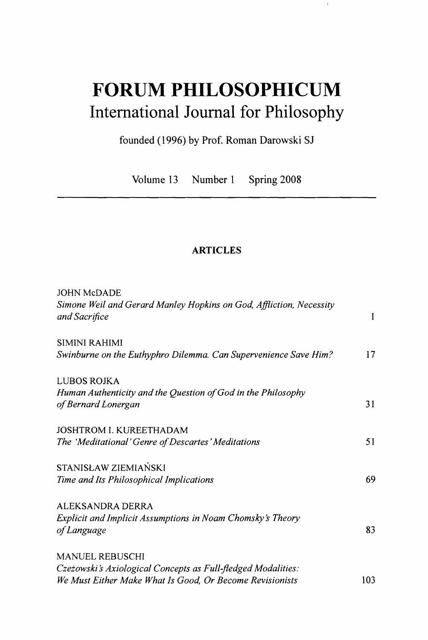## **FORUM PHILOSOPHICUM**  International Journal for Philosophy

 $\mathbb{I}$ 

founded (1996) by Prof. Roman Darowski SJ

Volume 13 Number 1 Spring 2008

## **ARTICLES**

| <b>JOHN McDADE</b>                                                  |     |
|---------------------------------------------------------------------|-----|
| Simone Weil and Gerard Manley Hopkins on God, Affliction, Necessity |     |
| and Sacrifice                                                       | 1   |
| SIMINI RAHIMI                                                       |     |
| Swinburne on the Euthyphro Dilemma. Can Supervenience Save Him?     | 17  |
| LUBOS ROJKA                                                         |     |
| Human Authenticity and the Question of God in the Philosophy        |     |
| of Bernard Lonergan                                                 | 31  |
| <b>JOSHTROM I. KUREETHADAM</b>                                      |     |
| The 'Meditational' Genre of Descartes' Meditations                  | 51  |
| STANISŁAW ZIEMIAŃSKI                                                |     |
| Time and Its Philosophical Implications                             | 69  |
| ALEKSANDRA DERRA                                                    |     |
| Explicit and Implicit Assumptions in Noam Chomsky's Theory          |     |
| of Language                                                         | 83  |
| <b>MANUEL REBUSCHI</b>                                              |     |
| Czeżowski's Axiological Concepts as Full-fledged Modalities:        |     |
| We Must Either Make What Is Good, Or Become Revisionists            | 103 |